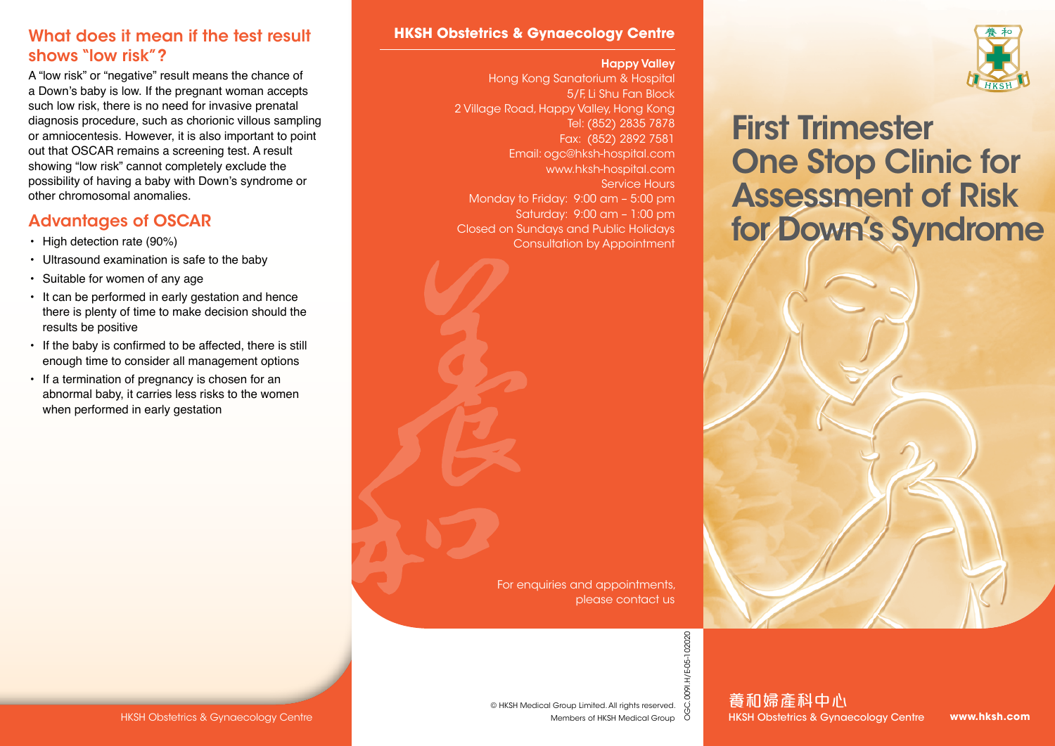#### What does it mean if the test result shows "low risk"?

A "low risk" or "negative" result means the chance of a Down's baby is low. If the pregnant woman accepts such low risk, there is no need for invasive prenatal diagnosis procedure, such as chorionic villous sampling or amniocentesis. However, it is also important to point out that OSCAR remains a screening test. A result showing "low risk" cannot completely exclude the possibility of having a baby with Down's syndrome or other chromosomal anomalies.

# Advantages of OSCAR

- High detection rate (90%)
- Ultrasound examination is safe to the baby
- Suitable for women of any age
- It can be performed in early gestation and hence there is plenty of time to make decision should the results be positive
- If the baby is confirmed to be affected, there is still enough time to consider all management options
- If a termination of pregnancy is chosen for an abnormal baby, it carries less risks to the women when performed in early gestation

#### **HKSH Obstetrics & Gynaecology Centre**

#### Happy Valley

Hong Kong Sanatorium & Hospital 5/F, Li Shu Fan Block 2 Village Road, Happy Valley, Hong Kong Tel: (852) 2835 7878 Fax: (852) 2892 7581 Email: ogc@hksh-hospital.com www.hksh-hospital.com Service Hours Monday to Friday: 9:00 am – 5:00 pm Saturday: 9:00 am – 1:00 pm Closed on Sundays and Public Holidays Consultation by Appointment





# First Trimester One Stop Clinic for Assessment of Risk for Down's Syndrome

養和婦產科中心 HKSH Obstetrics & Gynaecology Centre

**www.hksh.com**